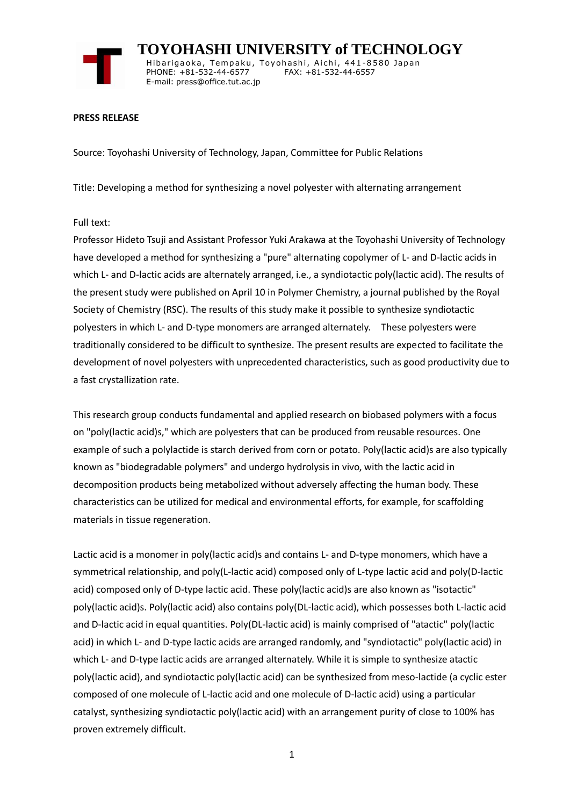

 **TOYOHASHI UNIVERSITY of TECHNOLOGY** Hibarigaoka, Tempaku, Toyohashi, Aichi, 441-8580 Japan PHONE: +81-532-44-6577 FAX: +81-532-44-6557 E-mail: press@office.tut.ac.jp

#### **PRESS RELEASE**

Source: Toyohashi University of Technology, Japan, Committee for Public Relations

Title: Developing a method for synthesizing a novel polyester with alternating arrangement

## Full text:

Professor Hideto Tsuji and Assistant Professor Yuki Arakawa at the Toyohashi University of Technology have developed a method for synthesizing a "pure" alternating copolymer of L- and D-lactic acids in which L- and D-lactic acids are alternately arranged, i.e., a syndiotactic poly(lactic acid). The results of the present study were published on April 10 in Polymer Chemistry, a journal published by the Royal Society of Chemistry (RSC). The results of this study make it possible to synthesize syndiotactic polyesters in which L- and D-type monomers are arranged alternately. These polyesters were traditionally considered to be difficult to synthesize. The present results are expected to facilitate the development of novel polyesters with unprecedented characteristics, such as good productivity due to a fast crystallization rate.

This research group conducts fundamental and applied research on biobased polymers with a focus on "poly(lactic acid)s," which are polyesters that can be produced from reusable resources. One example of such a polylactide is starch derived from corn or potato. Poly(lactic acid)s are also typically known as "biodegradable polymers" and undergo hydrolysis in vivo, with the lactic acid in decomposition products being metabolized without adversely affecting the human body. These characteristics can be utilized for medical and environmental efforts, for example, for scaffolding materials in tissue regeneration.

Lactic acid is a monomer in poly(lactic acid)s and contains L- and D-type monomers, which have a symmetrical relationship, and poly(L-lactic acid) composed only of L-type lactic acid and poly(D-lactic acid) composed only of D-type lactic acid. These poly(lactic acid)s are also known as "isotactic" poly(lactic acid)s. Poly(lactic acid) also contains poly(DL-lactic acid), which possesses both L-lactic acid and D-lactic acid in equal quantities. Poly(DL-lactic acid) is mainly comprised of "atactic" poly(lactic acid) in which L- and D-type lactic acids are arranged randomly, and "syndiotactic" poly(lactic acid) in which L- and D-type lactic acids are arranged alternately. While it is simple to synthesize atactic poly(lactic acid), and syndiotactic poly(lactic acid) can be synthesized from meso-lactide (a cyclic ester composed of one molecule of L-lactic acid and one molecule of D-lactic acid) using a particular catalyst, synthesizing syndiotactic poly(lactic acid) with an arrangement purity of close to 100% has proven extremely difficult.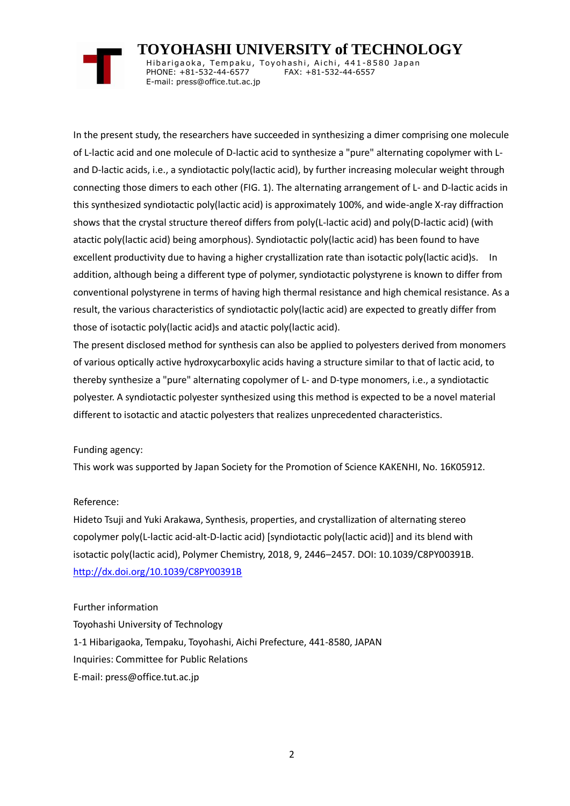# **TOYOHASHI UNIVERSITY of TECHNOLOGY**

Hibarigaoka, Tempaku, Toyohashi, Aichi, 441-8580 Japan PHONE: +81-532-44-6577 FAX: +81-532-44-6557 E-mail: press@office.tut.ac.jp

In the present study, the researchers have succeeded in synthesizing a dimer comprising one molecule of L-lactic acid and one molecule of D-lactic acid to synthesize a "pure" alternating copolymer with Land D-lactic acids, i.e., a syndiotactic poly(lactic acid), by further increasing molecular weight through connecting those dimers to each other (FIG. 1). The alternating arrangement of L- and D-lactic acids in this synthesized syndiotactic poly(lactic acid) is approximately 100%, and wide-angle X-ray diffraction shows that the crystal structure thereof differs from poly(L-lactic acid) and poly(D-lactic acid) (with atactic poly(lactic acid) being amorphous). Syndiotactic poly(lactic acid) has been found to have excellent productivity due to having a higher crystallization rate than isotactic poly(lactic acid)s. In addition, although being a different type of polymer, syndiotactic polystyrene is known to differ from conventional polystyrene in terms of having high thermal resistance and high chemical resistance. As a result, the various characteristics of syndiotactic poly(lactic acid) are expected to greatly differ from those of isotactic poly(lactic acid)s and atactic poly(lactic acid).

The present disclosed method for synthesis can also be applied to polyesters derived from monomers of various optically active hydroxycarboxylic acids having a structure similar to that of lactic acid, to thereby synthesize a "pure" alternating copolymer of L- and D-type monomers, i.e., a syndiotactic polyester. A syndiotactic polyester synthesized using this method is expected to be a novel material different to isotactic and atactic polyesters that realizes unprecedented characteristics.

## Funding agency:

This work was supported by Japan Society for the Promotion of Science KAKENHI, No. 16K05912.

## Reference:

Hideto Tsuji and Yuki Arakawa, Synthesis, properties, and crystallization of alternating stereo copolymer poly(L-lactic acid-alt-D-lactic acid) [syndiotactic poly(lactic acid)] and its blend with isotactic poly(lactic acid), Polymer Chemistry, 2018, 9, 2446–2457. DOI: 10.1039/C8PY00391B. <http://dx.doi.org/10.1039/C8PY00391B>

## Further information

Toyohashi University of Technology 1-1 Hibarigaoka, Tempaku, Toyohashi, Aichi Prefecture, 441-8580, JAPAN Inquiries: Committee for Public Relations E-mail: press@office.tut.ac.jp